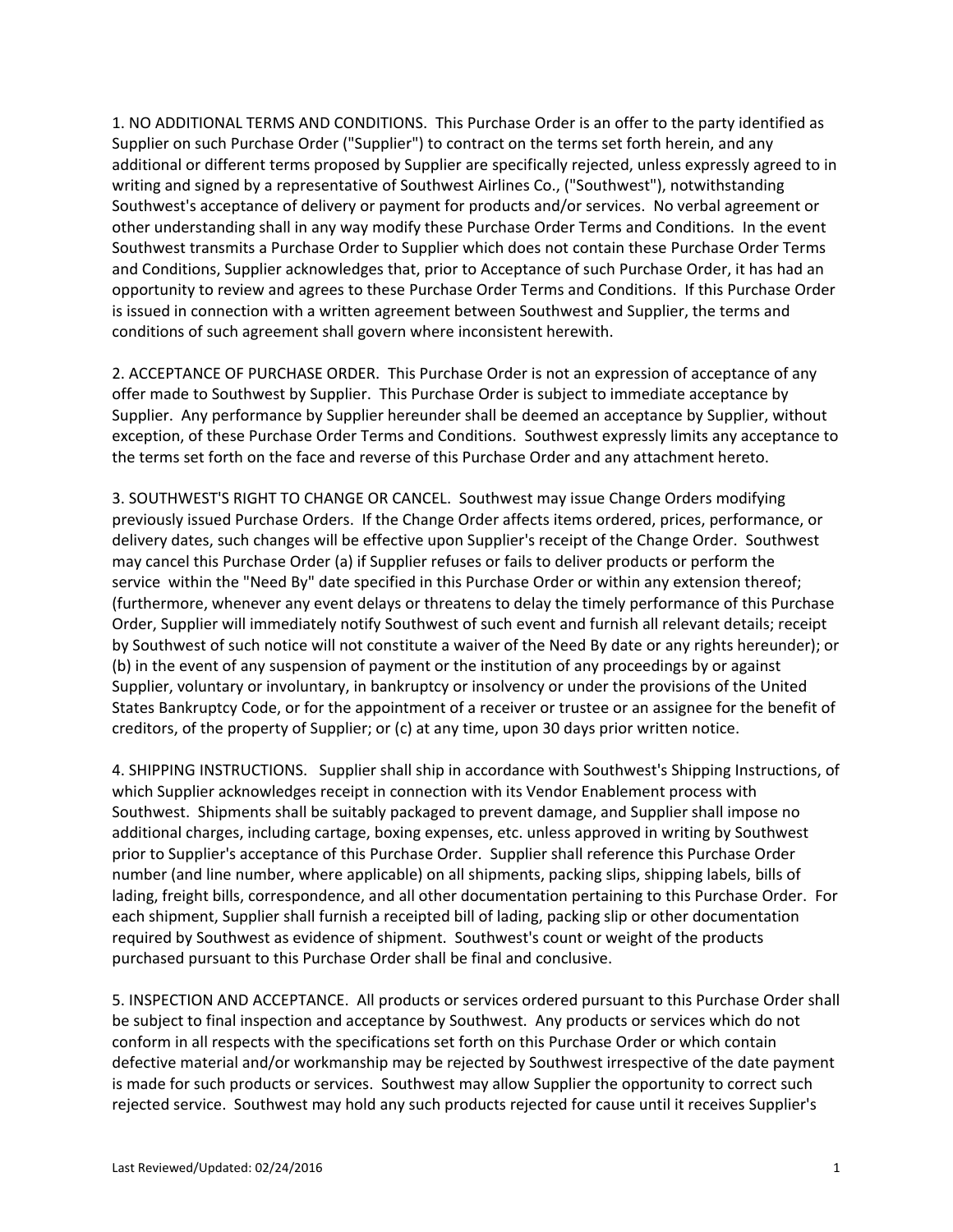1. NO ADDITIONAL TERMS AND CONDITIONS. This Purchase Order is an offer to the party identified as other understanding shall in any way modify these Purchase Order Terms and Conditions. In the event Southwest transmits a Purchase Order to Supplier which does not contain these Purchase Order Terms opportunity to review and agrees to these Purchase Order Terms and Conditions. If this Purchase Order Supplier on such Purchase Order ("Supplier") to contract on the terms set forth herein, and any additional or different terms proposed by Supplier are specifically rejected, unless expressly agreed to in writing and signed by a representative of Southwest Airlines Co., ("Southwest"), notwithstanding Southwest's acceptance of delivery or payment for products and/or services. No verbal agreement or and Conditions, Supplier acknowledges that, prior to Acceptance of such Purchase Order, it has had an is issued in connection with a written agreement between Southwest and Supplier, the terms and conditions of such agreement shall govern where inconsistent herewith.

 2. ACCEPTANCE OF PURCHASE ORDER. This Purchase Order is not an expression of acceptance of any offer made to Southwest by Supplier. This Purchase Order is subject to immediate acceptance by Supplier. Any performance by Supplier hereunder shall be deemed an acceptance by Supplier, without exception, of these Purchase Order Terms and Conditions. Southwest expressly limits any acceptance to the terms set forth on the face and reverse of this Purchase Order and any attachment hereto.

 3. SOUTHWEST'S RIGHT TO CHANGE OR CANCEL. Southwest may issue Change Orders modifying previously issued Purchase Orders. If the Change Order affects items ordered, prices, performance, or delivery dates, such changes will be effective upon Supplier's receipt of the Change Order. Southwest may cancel this Purchase Order (a) if Supplier refuses or fails to deliver products or perform the service within the "Need By" date specified in this Purchase Order or within any extension thereof; (furthermore, whenever any event delays or threatens to delay the timely performance of this Purchase Order, Supplier will immediately notify Southwest of such event and furnish all relevant details; receipt by Southwest of such notice will not constitute a waiver of the Need By date or any rights hereunder); or (b) in the event of any suspension of payment or the institution of any proceedings by or against Supplier, voluntary or involuntary, in bankruptcy or insolvency or under the provisions of the United States Bankruptcy Code, or for the appointment of a receiver or trustee or an assignee for the benefit of creditors, of the property of Supplier; or (c) at any time, upon 30 days prior written notice.

 4. SHIPPING INSTRUCTIONS. Supplier shall ship in accordance with Southwest's Shipping Instructions, of Southwest. Shipments shall be suitably packaged to prevent damage, and Supplier shall impose no prior to Supplier's acceptance of this Purchase Order. Supplier shall reference this Purchase Order lading, freight bills, correspondence, and all other documentation pertaining to this Purchase Order. For required by Southwest as evidence of shipment. Southwest's count or weight of the products which Supplier acknowledges receipt in connection with its Vendor Enablement process with additional charges, including cartage, boxing expenses, etc. unless approved in writing by Southwest number (and line number, where applicable) on all shipments, packing slips, shipping labels, bills of each shipment, Supplier shall furnish a receipted bill of lading, packing slip or other documentation purchased pursuant to this Purchase Order shall be final and conclusive.

 5. INSPECTION AND ACCEPTANCE. All products or services ordered pursuant to this Purchase Order shall be subject to final inspection and acceptance by Southwest. Any products or services which do not is made for such products or services. Southwest may allow Supplier the opportunity to correct such rejected service. Southwest may hold any such products rejected for cause until it receives Supplier's conform in all respects with the specifications set forth on this Purchase Order or which contain defective material and/or workmanship may be rejected by Southwest irrespective of the date payment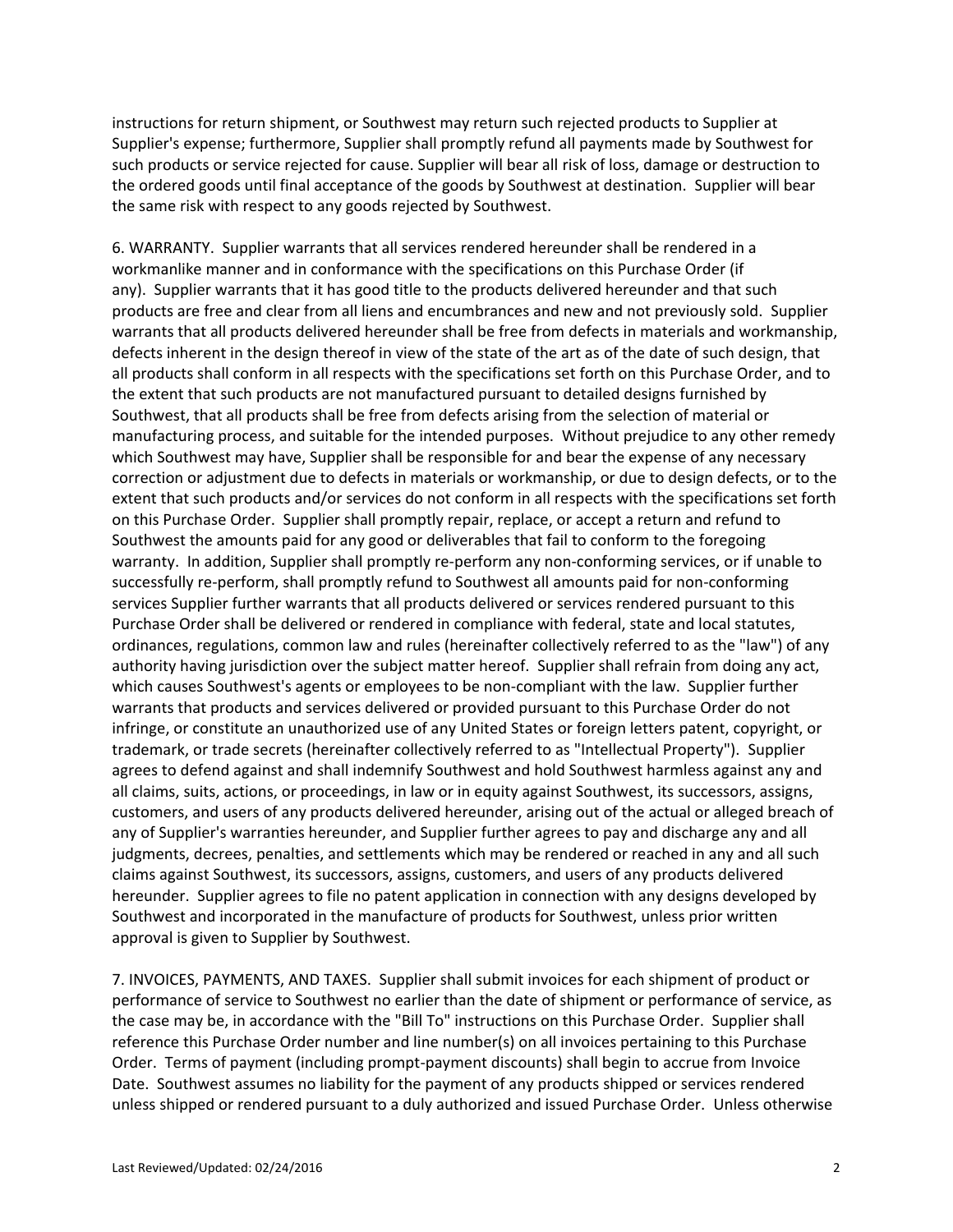the ordered goods until final acceptance of the goods by Southwest at destination. Supplier will bear the same risk with respect to any goods rejected by Southwest. instructions for return shipment, or Southwest may return such rejected products to Supplier at Supplier's expense; furthermore, Supplier shall promptly refund all payments made by Southwest for such products or service rejected for cause. Supplier will bear all risk of loss, damage or destruction to

the same risk with respect to any goods rejected by Southwest.<br>6. WARRANTY. Supplier warrants that all services rendered hereunder shall be rendered in a any). Supplier warrants that it has good title to the products delivered hereunder and that such products are free and clear from all liens and encumbrances and new and not previously sold. Supplier manufacturing process, and suitable for the intended purposes. Without prejudice to any other remedy on this Purchase Order. Supplier shall promptly repair, replace, or accept a return and refund to warranty. In addition, Supplier shall promptly re-perform any non-conforming services, or if unable to authority having jurisdiction over the subject matter hereof. Supplier shall refrain from doing any act, which causes Southwest's agents or employees to be non-compliant with the law. Supplier further trademark, or trade secrets (hereinafter collectively referred to as "Intellectual Property"). Supplier hereunder. Supplier agrees to file no patent application in connection with any designs developed by approval is given to Supplier by Southwest. workmanlike manner and in conformance with the specifications on this Purchase Order (if warrants that all products delivered hereunder shall be free from defects in materials and workmanship, defects inherent in the design thereof in view of the state of the art as of the date of such design, that all products shall conform in all respects with the specifications set forth on this Purchase Order, and to the extent that such products are not manufactured pursuant to detailed designs furnished by Southwest, that all products shall be free from defects arising from the selection of material or which Southwest may have, Supplier shall be responsible for and bear the expense of any necessary correction or adjustment due to defects in materials or workmanship, or due to design defects, or to the extent that such products and/or services do not conform in all respects with the specifications set forth Southwest the amounts paid for any good or deliverables that fail to conform to the foregoing successfully re-perform, shall promptly refund to Southwest all amounts paid for non-conforming services Supplier further warrants that all products delivered or services rendered pursuant to this Purchase Order shall be delivered or rendered in compliance with federal, state and local statutes, ordinances, regulations, common law and rules (hereinafter collectively referred to as the "law") of any warrants that products and services delivered or provided pursuant to this Purchase Order do not infringe, or constitute an unauthorized use of any United States or foreign letters patent, copyright, or agrees to defend against and shall indemnify Southwest and hold Southwest harmless against any and all claims, suits, actions, or proceedings, in law or in equity against Southwest, its successors, assigns, customers, and users of any products delivered hereunder, arising out of the actual or alleged breach of any of Supplier's warranties hereunder, and Supplier further agrees to pay and discharge any and all judgments, decrees, penalties, and settlements which may be rendered or reached in any and all such claims against Southwest, its successors, assigns, customers, and users of any products delivered Southwest and incorporated in the manufacture of products for Southwest, unless prior written

approval is given to Supplier by Southwest.<br>7. INVOICES, PAYMENTS, AND TAXES. Supplier shall submit invoices for each shipment of product or performance of service to Southwest no earlier than the date of shipment or performance of service, as the case may be, in accordance with the "Bill To" instructions on this Purchase Order. Supplier shall Order. Terms of payment (including prompt-payment discounts) shall begin to accrue from Invoice Date. Southwest assumes no liability for the payment of any products shipped or services rendered unless shipped or rendered pursuant to a duly authorized and issued Purchase Order. Unless otherwise reference this Purchase Order number and line number(s) on all invoices pertaining to this Purchase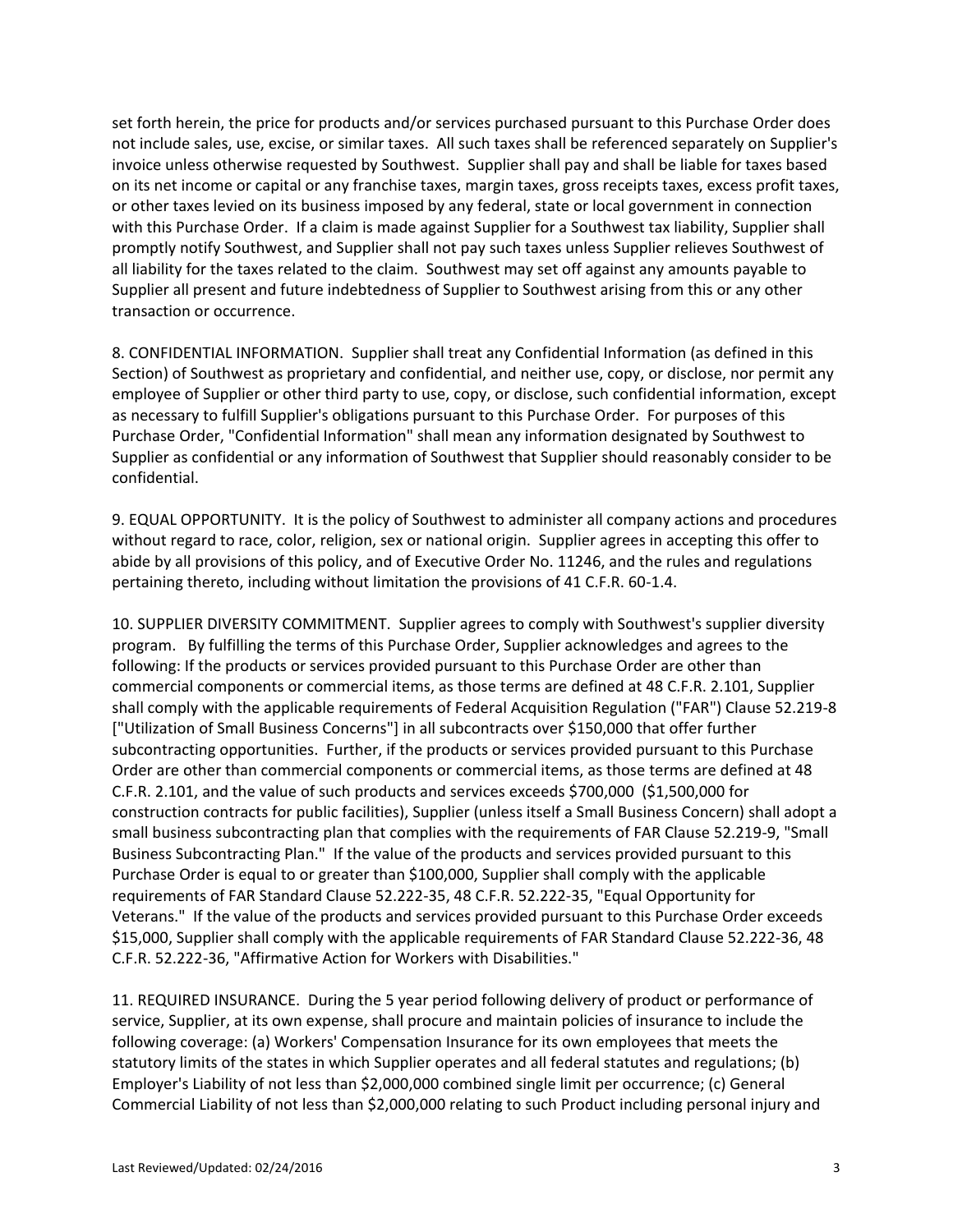not include sales, use, excise, or similar taxes. All such taxes shall be referenced separately on Supplier's invoice unless otherwise requested by Southwest. Supplier shall pay and shall be liable for taxes based with this Purchase Order. If a claim is made against Supplier for a Southwest tax liability, Supplier shall all liability for the taxes related to the claim. Southwest may set off against any amounts payable to set forth herein, the price for products and/or services purchased pursuant to this Purchase Order does on its net income or capital or any franchise taxes, margin taxes, gross receipts taxes, excess profit taxes, or other taxes levied on its business imposed by any federal, state or local government in connection promptly notify Southwest, and Supplier shall not pay such taxes unless Supplier relieves Southwest of Supplier all present and future indebtedness of Supplier to Southwest arising from this or any other transaction or occurrence.

 8. CONFIDENTIAL INFORMATION. Supplier shall treat any Confidential Information (as defined in this as necessary to fulfill Supplier's obligations pursuant to this Purchase Order. For purposes of this Section) of Southwest as proprietary and confidential, and neither use, copy, or disclose, nor permit any employee of Supplier or other third party to use, copy, or disclose, such confidential information, except Purchase Order, "Confidential Information" shall mean any information designated by Southwest to Supplier as confidential or any information of Southwest that Supplier should reasonably consider to be confidential.

 9. EQUAL OPPORTUNITY. It is the policy of Southwest to administer all company actions and procedures without regard to race, color, religion, sex or national origin. Supplier agrees in accepting this offer to abide by all provisions of this policy, and of Executive Order No. 11246, and the rules and regulations pertaining thereto, including without limitation the provisions of 41 C.F.R. 60-1.4.

 10. SUPPLIER DIVERSITY COMMITMENT. Supplier agrees to comply with Southwest's supplier diversity program. By fulfilling the terms of this Purchase Order, Supplier acknowledges and agrees to the subcontracting opportunities. Further, if the products or services provided pursuant to this Purchase C.F.R. 2.101, and the value of such products and services exceeds \$700,000 (\$1,500,000 for Business Subcontracting Plan." If the value of the products and services provided pursuant to this Veterans." If the value of the products and services provided pursuant to this Purchase Order exceeds following: If the products or services provided pursuant to this Purchase Order are other than commercial components or commercial items, as those terms are defined at 48 C.F.R. 2.101, Supplier shall comply with the applicable requirements of Federal Acquisition Regulation ("FAR") Clause 52.219-8 ["Utilization of Small Business Concerns"] in all subcontracts over \$150,000 that offer further Order are other than commercial components or commercial items, as those terms are defined at 48 construction contracts for public facilities), Supplier (unless itself a Small Business Concern) shall adopt a small business subcontracting plan that complies with the requirements of FAR Clause 52.219-9, "Small Purchase Order is equal to or greater than \$100,000, Supplier shall comply with the applicable requirements of FAR Standard Clause 52.222-35, 48 C.F.R. 52.222-35, "Equal Opportunity for \$15,000, Supplier shall comply with the applicable requirements of FAR Standard Clause 52.222-36, 48 C.F.R. 52.222-36, "Affirmative Action for Workers with Disabilities."

 11. REQUIRED INSURANCE. During the 5 year period following delivery of product or performance of service, Supplier, at its own expense, shall procure and maintain policies of insurance to include the following coverage: (a) Workers' Compensation Insurance for its own employees that meets the statutory limits of the states in which Supplier operates and all federal statutes and regulations; (b) Employer's Liability of not less than \$2,000,000 combined single limit per occurrence; (c) General Commercial Liability of not less than \$2,000,000 relating to such Product including personal injury and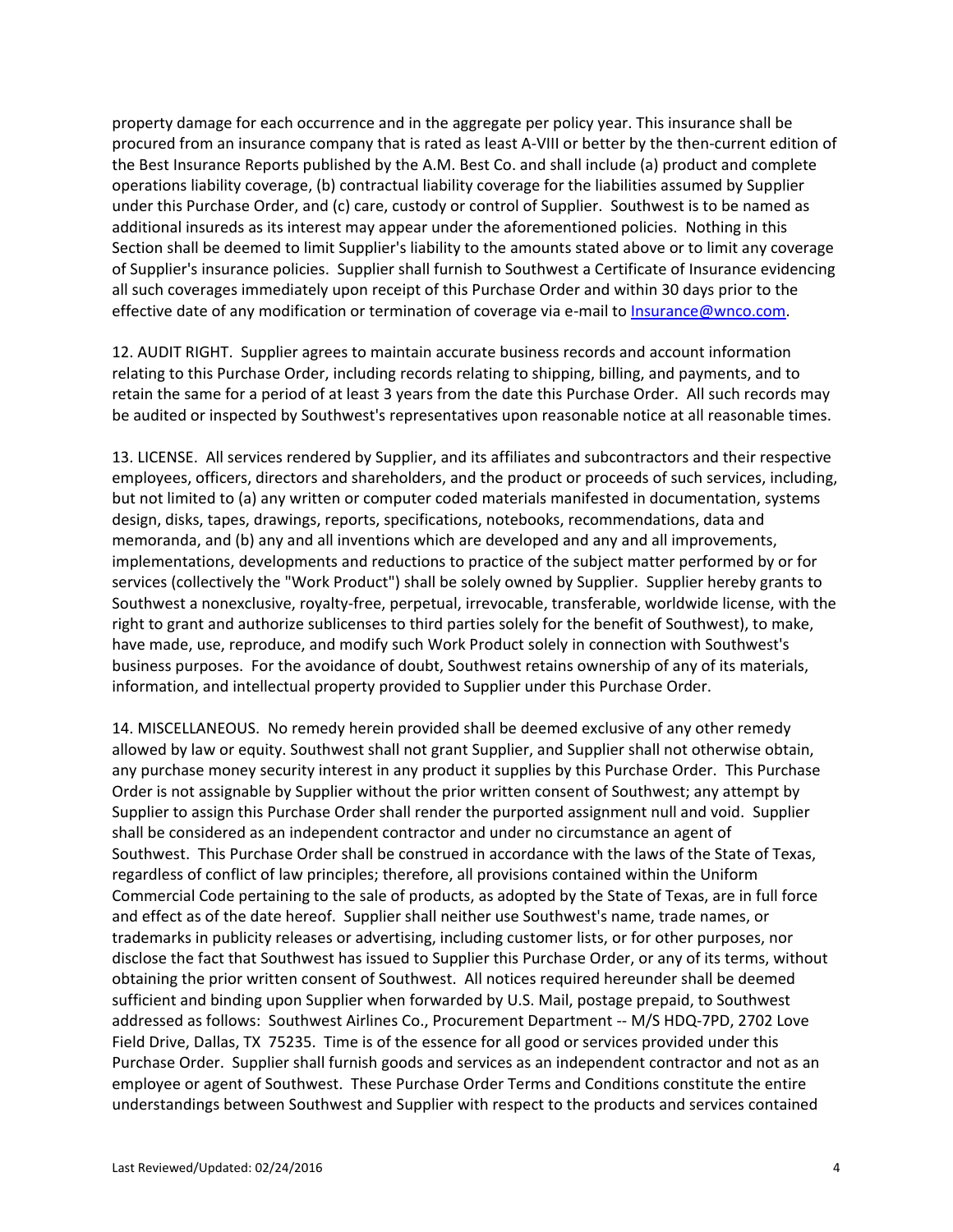under this Purchase Order, and (c) care, custody or control of Supplier. Southwest is to be named as additional insureds as its interest may appear under the aforementioned policies. Nothing in this of Supplier's insurance policies. Supplier shall furnish to Southwest a Certificate of Insurance evidencing property damage for each occurrence and in the aggregate per policy year. This insurance shall be procured from an insurance company that is rated as least A-VIII or better by the then-current edition of the Best Insurance Reports published by the A.M. Best Co. and shall include (a) product and complete operations liability coverage, (b) contractual liability coverage for the liabilities assumed by Supplier Section shall be deemed to limit Supplier's liability to the amounts stated above or to limit any coverage all such coverages immediately upon receipt of this Purchase Order and within 30 days prior to the effective date of any modification or termination of coverage via e-mail to [Insurance@wnco.com.](mailto:Insurance@wnco.com)

 12. AUDIT RIGHT. Supplier agrees to maintain accurate business records and account information retain the same for a period of at least 3 years from the date this Purchase Order. All such records may relating to this Purchase Order, including records relating to shipping, billing, and payments, and to be audited or inspected by Southwest's representatives upon reasonable notice at all reasonable times.

 13. LICENSE. All services rendered by Supplier, and its affiliates and subcontractors and their respective services (collectively the "Work Product") shall be solely owned by Supplier. Supplier hereby grants to business purposes. For the avoidance of doubt, Southwest retains ownership of any of its materials, employees, officers, directors and shareholders, and the product or proceeds of such services, including, but not limited to (a) any written or computer coded materials manifested in documentation, systems design, disks, tapes, drawings, reports, specifications, notebooks, recommendations, data and memoranda, and (b) any and all inventions which are developed and any and all improvements, implementations, developments and reductions to practice of the subject matter performed by or for Southwest a nonexclusive, royalty-free, perpetual, irrevocable, transferable, worldwide license, with the right to grant and authorize sublicenses to third parties solely for the benefit of Southwest), to make, have made, use, reproduce, and modify such Work Product solely in connection with Southwest's information, and intellectual property provided to Supplier under this Purchase Order.

 14. MISCELLANEOUS. No remedy herein provided shall be deemed exclusive of any other remedy any purchase money security interest in any product it supplies by this Purchase Order. This Purchase Supplier to assign this Purchase Order shall render the purported assignment null and void. Supplier Southwest. This Purchase Order shall be construed in accordance with the laws of the State of Texas, and effect as of the date hereof. Supplier shall neither use Southwest's name, trade names, or trademarks in publicity releases or advertising, including customer lists, or for other purposes, nor obtaining the prior written consent of Southwest. All notices required hereunder shall be deemed addressed as follows: Southwest Airlines Co., Procurement Department -- M/S HDQ-7PD, 2702 Love Field Drive, Dallas, TX 75235. Time is of the essence for all good or services provided under this Purchase Order. Supplier shall furnish goods and services as an independent contractor and not as an employee or agent of Southwest. These Purchase Order Terms and Conditions constitute the entire allowed by law or equity. Southwest shall not grant Supplier, and Supplier shall not otherwise obtain, Order is not assignable by Supplier without the prior written consent of Southwest; any attempt by shall be considered as an independent contractor and under no circumstance an agent of regardless of conflict of law principles; therefore, all provisions contained within the Uniform Commercial Code pertaining to the sale of products, as adopted by the State of Texas, are in full force disclose the fact that Southwest has issued to Supplier this Purchase Order, or any of its terms, without sufficient and binding upon Supplier when forwarded by U.S. Mail, postage prepaid, to Southwest understandings between Southwest and Supplier with respect to the products and services contained